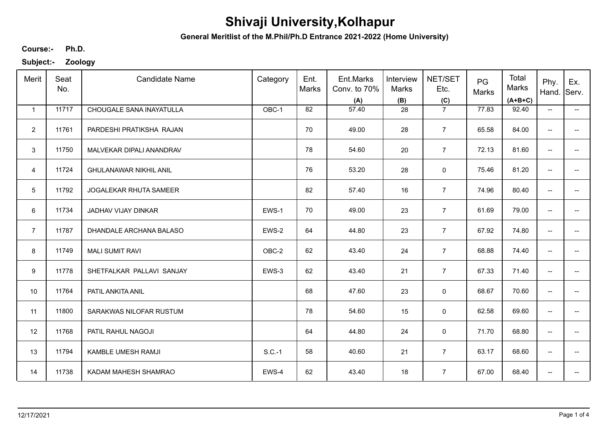**General Meritlist of the M.Phil/Ph.D Entrance 2021-2022 (Home University)**

**Ph.D. Course:-**

| Merit           | Seat<br>No. | <b>Candidate Name</b>         | Category | Ent.<br>Marks | Ent.Marks<br>Conv. to 70%<br>(A) | Interview<br>Marks<br>(B) | NET/SET<br>Etc.<br>(C) | PG<br>Marks | Total<br>Marks<br>$(A+B+C)$ | Phy.<br>Hand.            | Ex.<br>Serv.             |
|-----------------|-------------|-------------------------------|----------|---------------|----------------------------------|---------------------------|------------------------|-------------|-----------------------------|--------------------------|--------------------------|
| $\mathbf{1}$    | 11717       | CHOUGALE SANA INAYATULLA      | OBC-1    | 82            | 57.40                            | 28                        | $\overline{7}$         | 77.83       | 92.40                       | $\overline{\phantom{a}}$ | $\overline{\phantom{a}}$ |
| $\overline{2}$  | 11761       | PARDESHI PRATIKSHA RAJAN      |          | 70            | 49.00                            | 28                        | $\overline{7}$         | 65.58       | 84.00                       | $\overline{\phantom{a}}$ |                          |
| 3               | 11750       | MALVEKAR DIPALI ANANDRAV      |          | 78            | 54.60                            | 20                        | $\overline{7}$         | 72.13       | 81.60                       | --                       |                          |
| $\overline{4}$  | 11724       | <b>GHULANAWAR NIKHIL ANIL</b> |          | 76            | 53.20                            | 28                        | $\mathbf 0$            | 75.46       | 81.20                       | $\overline{\phantom{a}}$ | --                       |
| $5\phantom{.0}$ | 11792       | JOGALEKAR RHUTA SAMEER        |          | 82            | 57.40                            | 16                        | $\overline{7}$         | 74.96       | 80.40                       | $\overline{\phantom{m}}$ | --                       |
| 6               | 11734       | JADHAV VIJAY DINKAR           | EWS-1    | 70            | 49.00                            | 23                        | $\overline{7}$         | 61.69       | 79.00                       | $\overline{\phantom{m}}$ | $\overline{\phantom{a}}$ |
| $\overline{7}$  | 11787       | DHANDALE ARCHANA BALASO       | EWS-2    | 64            | 44.80                            | 23                        | $\overline{7}$         | 67.92       | 74.80                       | $\overline{\phantom{m}}$ | --                       |
| 8               | 11749       | <b>MALI SUMIT RAVI</b>        | OBC-2    | 62            | 43.40                            | 24                        | $\overline{7}$         | 68.88       | 74.40                       | $\overline{\phantom{m}}$ |                          |
| 9               | 11778       | SHETFALKAR PALLAVI SANJAY     | EWS-3    | 62            | 43.40                            | 21                        | $\overline{7}$         | 67.33       | 71.40                       | $\overline{\phantom{a}}$ |                          |
| 10              | 11764       | PATIL ANKITA ANIL             |          | 68            | 47.60                            | 23                        | 0                      | 68.67       | 70.60                       | $\overline{\phantom{a}}$ | $\overline{\phantom{0}}$ |
| 11              | 11800       | SARAKWAS NILOFAR RUSTUM       |          | 78            | 54.60                            | 15                        | $\mathsf 0$            | 62.58       | 69.60                       | $\overline{\phantom{a}}$ | --                       |
| 12              | 11768       | PATIL RAHUL NAGOJI            |          | 64            | 44.80                            | 24                        | 0                      | 71.70       | 68.80                       | $\overline{\phantom{a}}$ | $\qquad \qquad -$        |
| 13              | 11794       | KAMBLE UMESH RAMJI            | $S.C.-1$ | 58            | 40.60                            | 21                        | $\overline{7}$         | 63.17       | 68.60                       | $\overline{\phantom{a}}$ | $\overline{\phantom{a}}$ |
| 14              | 11738       | KADAM MAHESH SHAMRAO          | EWS-4    | 62            | 43.40                            | 18                        | $\overline{7}$         | 67.00       | 68.40                       | $\overline{\phantom{a}}$ | --                       |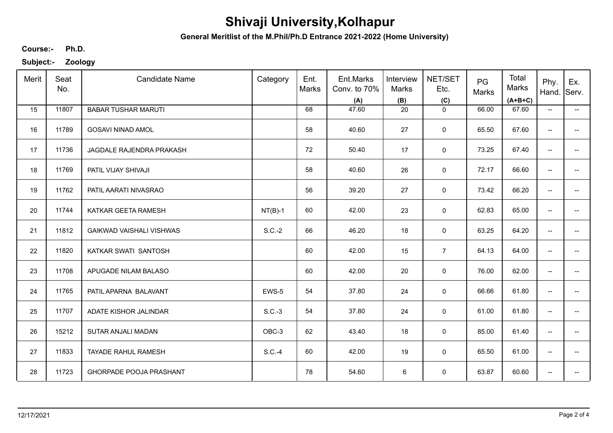**General Meritlist of the M.Phil/Ph.D Entrance 2021-2022 (Home University)**

**Ph.D. Course:-**

| Merit | Seat<br>No. | <b>Candidate Name</b>           | Category  | Ent.<br>Marks | Ent.Marks<br>Conv. to 70%<br>(A) | Interview<br>Marks<br>(B) | NET/SET<br>Etc.<br>(C) | PG<br>Marks | Total<br>Marks<br>$(A+B+C)$ | Phy.<br>Hand.            | Ex.<br>Serv.             |
|-------|-------------|---------------------------------|-----------|---------------|----------------------------------|---------------------------|------------------------|-------------|-----------------------------|--------------------------|--------------------------|
| 15    | 11807       | <b>BABAR TUSHAR MARUTI</b>      |           | 68            | 47.60                            | 20                        | $\mathbf 0$            | 66.00       | 67.60                       | $\overline{\phantom{a}}$ | $\overline{\phantom{a}}$ |
| 16    | 11789       | <b>GOSAVI NINAD AMOL</b>        |           | 58            | 40.60                            | 27                        | 0                      | 65.50       | 67.60                       | $\overline{\phantom{a}}$ | $\overline{\phantom{a}}$ |
| 17    | 11736       | JAGDALE RAJENDRA PRAKASH        |           | 72            | 50.40                            | 17                        | $\mathbf 0$            | 73.25       | 67.40                       | $\overline{\phantom{a}}$ | $\overline{\phantom{a}}$ |
| 18    | 11769       | PATIL VIJAY SHIVAJI             |           | 58            | 40.60                            | 26                        | $\pmb{0}$              | 72.17       | 66.60                       | $\overline{\phantom{a}}$ | $\overline{\phantom{a}}$ |
| 19    | 11762       | PATIL AARATI NIVASRAO           |           | 56            | 39.20                            | 27                        | $\pmb{0}$              | 73.42       | 66.20                       | $\overline{\phantom{a}}$ | $\overline{\phantom{a}}$ |
| 20    | 11744       | KATKAR GEETA RAMESH             | $NT(B)-1$ | 60            | 42.00                            | 23                        | 0                      | 62.83       | 65.00                       | $\overline{\phantom{a}}$ | ÷                        |
| 21    | 11812       | <b>GAIKWAD VAISHALI VISHWAS</b> | $S.C.-2$  | 66            | 46.20                            | 18                        | $\pmb{0}$              | 63.25       | 64.20                       | $\overline{\phantom{a}}$ | --                       |
| 22    | 11820       | KATKAR SWATI SANTOSH            |           | 60            | 42.00                            | 15                        | $\overline{7}$         | 64.13       | 64.00                       | $\overline{\phantom{a}}$ | $\overline{\phantom{a}}$ |
| 23    | 11708       | APUGADE NILAM BALASO            |           | 60            | 42.00                            | 20                        | $\mathbf 0$            | 76.00       | 62.00                       | $\overline{\phantom{a}}$ |                          |
| 24    | 11765       | PATIL APARNA BALAVANT           | EWS-5     | 54            | 37.80                            | 24                        | $\pmb{0}$              | 66.66       | 61.80                       | $\overline{\phantom{a}}$ | -−                       |
| 25    | 11707       | ADATE KISHOR JALINDAR           | $S.C.-3$  | 54            | 37.80                            | 24                        | $\pmb{0}$              | 61.00       | 61.80                       | $\overline{\phantom{a}}$ | -−                       |
| 26    | 15212       | SUTAR ANJALI MADAN              | OBC-3     | 62            | 43.40                            | 18                        | $\pmb{0}$              | 85.00       | 61.40                       | $\overline{\phantom{m}}$ | $\overline{\phantom{a}}$ |
| 27    | 11833       | TAYADE RAHUL RAMESH             | $S.C.-4$  | 60            | 42.00                            | 19                        | $\pmb{0}$              | 65.50       | 61.00                       | $\overline{\phantom{a}}$ | $\overline{\phantom{a}}$ |
| 28    | 11723       | GHORPADE POOJA PRASHANT         |           | 78            | 54.60                            | 6                         | $\pmb{0}$              | 63.87       | 60.60                       | $\overline{\phantom{a}}$ | $\overline{\phantom{a}}$ |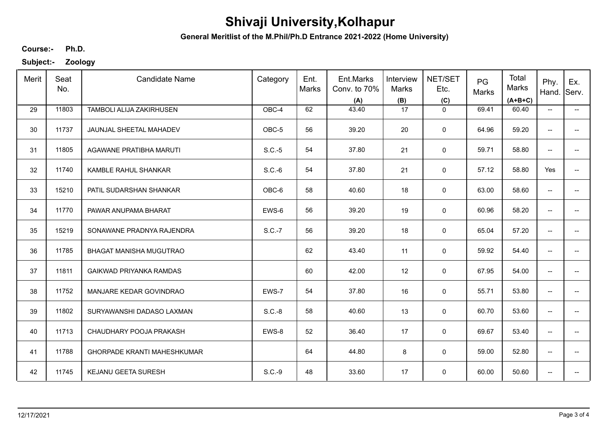**General Meritlist of the M.Phil/Ph.D Entrance 2021-2022 (Home University)**

**Ph.D. Course:-**

| Merit | Seat<br>No. | <b>Candidate Name</b>              | Category | Ent.<br>Marks | Ent.Marks<br>Conv. to 70%<br>(A) | Interview<br><b>Marks</b><br>(B) | NET/SET<br>Etc.<br>(C) | PG<br>Marks | Total<br>Marks<br>$(A+B+C)$ | Phy.<br>Hand.                       | Ex.<br>Serv.                        |
|-------|-------------|------------------------------------|----------|---------------|----------------------------------|----------------------------------|------------------------|-------------|-----------------------------|-------------------------------------|-------------------------------------|
| 29    | 11803       | TAMBOLI ALIJA ZAKIRHUSEN           | OBC-4    | 62            | 43.40                            | 17                               | $\mathbf 0$            | 69.41       | 60.40                       | $\overline{\phantom{a}}$            | $\overline{\phantom{a}}$            |
| 30    | 11737       | JAUNJAL SHEETAL MAHADEV            | OBC-5    | 56            | 39.20                            | 20                               | $\mathbf 0$            | 64.96       | 59.20                       | $\overline{\phantom{a}}$            |                                     |
| 31    | 11805       | AGAWANE PRATIBHA MARUTI            | $S.C.-5$ | 54            | 37.80                            | 21                               | $\mathbf 0$            | 59.71       | 58.80                       | --                                  |                                     |
| 32    | 11740       | KAMBLE RAHUL SHANKAR               | $S.C.-6$ | 54            | 37.80                            | 21                               | $\mathbf 0$            | 57.12       | 58.80                       | Yes                                 | $- -$                               |
| 33    | 15210       | PATIL SUDARSHAN SHANKAR            | OBC-6    | 58            | 40.60                            | 18                               | $\mathbf 0$            | 63.00       | 58.60                       | $\overline{\phantom{a}}$            | $\overline{a}$                      |
| 34    | 11770       | PAWAR ANUPAMA BHARAT               | EWS-6    | 56            | 39.20                            | 19                               | $\mathbf 0$            | 60.96       | 58.20                       | $\overline{\phantom{a}}$            | $\overline{a}$                      |
| 35    | 15219       | SONAWANE PRADNYA RAJENDRA          | S.C.-7   | 56            | 39.20                            | 18                               | $\mathbf 0$            | 65.04       | 57.20                       | $\overline{\phantom{a}}$            | $\qquad \qquad -$                   |
| 36    | 11785       | BHAGAT MANISHA MUGUTRAO            |          | 62            | 43.40                            | 11                               | $\mathbf 0$            | 59.92       | 54.40                       | $\overline{\phantom{a}}$            |                                     |
| 37    | 11811       | <b>GAIKWAD PRIYANKA RAMDAS</b>     |          | 60            | 42.00                            | 12                               | $\mathbf 0$            | 67.95       | 54.00                       | $\overline{\phantom{a}}$            |                                     |
| 38    | 11752       | MANJARE KEDAR GOVINDRAO            | EWS-7    | 54            | 37.80                            | 16                               | $\mathbf 0$            | 55.71       | 53.80                       | --                                  |                                     |
| 39    | 11802       | SURYAWANSHI DADASO LAXMAN          | $S.C.-8$ | 58            | 40.60                            | 13                               | $\mathbf 0$            | 60.70       | 53.60                       | --                                  |                                     |
| 40    | 11713       | CHAUDHARY POOJA PRAKASH            | EWS-8    | 52            | 36.40                            | 17                               | 0                      | 69.67       | 53.40                       | --                                  | $\qquad \qquad -$                   |
| 41    | 11788       | <b>GHORPADE KRANTI MAHESHKUMAR</b> |          | 64            | 44.80                            | 8                                | $\mathbf 0$            | 59.00       | 52.80                       | --                                  | $\hspace{0.05cm}$                   |
| 42    | 11745       | KEJANU GEETA SURESH                | $S.C.-9$ | 48            | 33.60                            | 17                               | $\mathbf 0$            | 60.00       | 50.60                       | $\hspace{0.05cm}$ $\hspace{0.05cm}$ | $\hspace{0.05cm}$ $\hspace{0.05cm}$ |